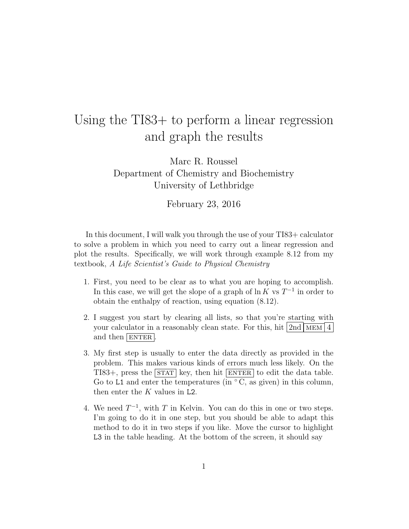## Using the TI83+ to perform a linear regression and graph the results

Marc R. Roussel Department of Chemistry and Biochemistry University of Lethbridge

February 23, 2016

In this document, I will walk you through the use of your TI83+ calculator to solve a problem in which you need to carry out a linear regression and plot the results. Specifically, we will work through example 8.12 from my textbook, A Life Scientist's Guide to Physical Chemistry

- 1. First, you need to be clear as to what you are hoping to accomplish. In this case, we will get the slope of a graph of  $\ln K$  vs  $T^{-1}$  in order to obtain the enthalpy of reaction, using equation (8.12).
- 2. I suggest you start by clearing all lists, so that you're starting with your calculator in a reasonably clean state. For this, hit  $2nd \overline{\text{MEM}}$  4 and then  $|$  ENTER.
- 3. My first step is usually to enter the data directly as provided in the problem. This makes various kinds of errors much less likely. On the TI83+, press the  $STAT$  key, then hit ENTER to edit the data table. Go to L1 and enter the temperatures (in  $\degree$ C, as given) in this column, then enter the  $K$  values in L2.
- 4. We need  $T^{-1}$ , with T in Kelvin. You can do this in one or two steps. I'm going to do it in one step, but you should be able to adapt this method to do it in two steps if you like. Move the cursor to highlight L3 in the table heading. At the bottom of the screen, it should say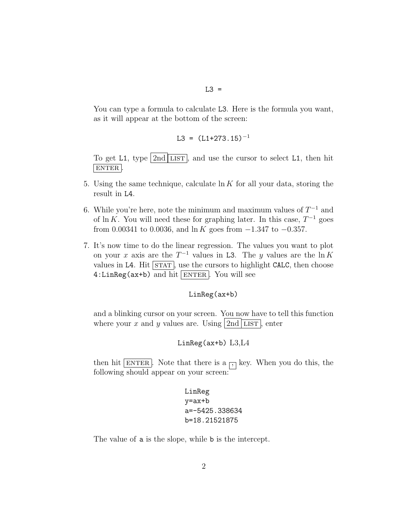$L3 =$ 

You can type a formula to calculate L3. Here is the formula you want, as it will appear at the bottom of the screen:

$$
L3 = (L1+273.15)^{-1}
$$

To get L1, type  $2nd$  LIST, and use the cursor to select L1, then hit  $|$  ENTER  $|$ 

- 5. Using the same technique, calculate  $\ln K$  for all your data, storing the result in L4.
- 6. While you're here, note the minimum and maximum values of  $T^{-1}$  and of ln K. You will need these for graphing later. In this case,  $T^{-1}$  goes from 0.00341 to 0.0036, and ln K goes from  $-1.347$  to  $-0.357$ .
- 7. It's now time to do the linear regression. The values you want to plot on your x axis are the  $T^{-1}$  values in L3. The y values are the  $\ln K$ values in L4. Hit  $\overline{\text{STAT}}$ , use the cursors to highlight CALC, then choose  $4:LinReg(ax+b)$  and hit ENTER. You will see

## LinReg(ax+b)

and a blinking cursor on your screen. You now have to tell this function where your x and y values are. Using  $2nd$  LIST, enter

## LinReg(ax+b) L3,L4

then hit ENTER. Note that there is a  $\Box$  key. When you do this, the following should appear on your screen:

> LinReg y=ax+b a=-5425.338634 b=18.21521875

The value of a is the slope, while b is the intercept.